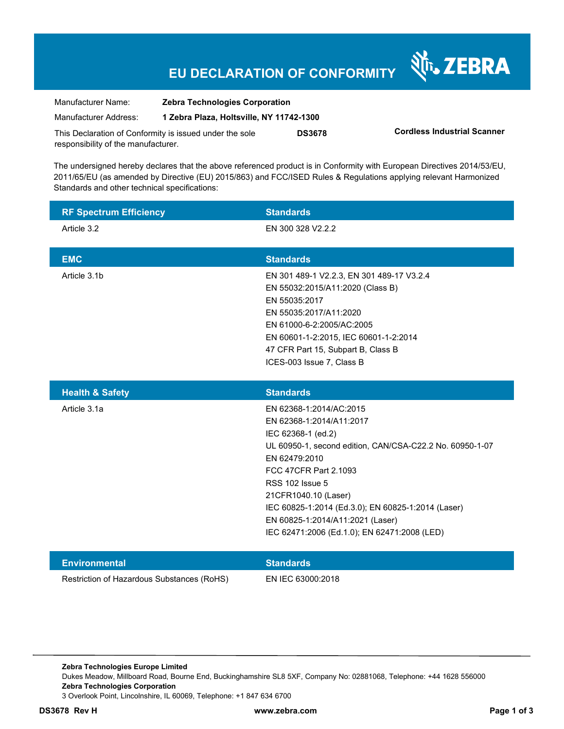## **EU DECLARATION OF CONFORMITY**

Nr. ZEBRA

| Manufacturer Name:                                      | <b>Zebra Technologies Corporation</b>    |               |                                    |
|---------------------------------------------------------|------------------------------------------|---------------|------------------------------------|
| Manufacturer Address:                                   | 1 Zebra Plaza, Holtsville, NY 11742-1300 |               |                                    |
| This Declaration of Conformity is issued under the sole |                                          | <b>DS3678</b> | <b>Cordless Industrial Scanner</b> |
| responsibility of the manufacturer.                     |                                          |               |                                    |

The undersigned hereby declares that the above referenced product is in Conformity with European Directives 2014/53/EU, 2011/65/EU (as amended by Directive (EU) 2015/863) and FCC/ISED Rules & Regulations applying relevant Harmonized Standards and other technical specifications:

| <b>RF Spectrum Efficiency</b> | <b>Standards</b>                                                                                                                                                                                                                                                                                                                                                            |
|-------------------------------|-----------------------------------------------------------------------------------------------------------------------------------------------------------------------------------------------------------------------------------------------------------------------------------------------------------------------------------------------------------------------------|
| Article 3.2                   | EN 300 328 V2.2.2                                                                                                                                                                                                                                                                                                                                                           |
| <b>EMC</b>                    | <b>Standards</b>                                                                                                                                                                                                                                                                                                                                                            |
| Article 3.1b                  | EN 301 489-1 V2.2.3, EN 301 489-17 V3.2.4<br>EN 55032:2015/A11:2020 (Class B)<br>EN 55035:2017<br>EN 55035:2017/A11:2020<br>EN 61000-6-2:2005/AC:2005<br>EN 60601-1-2:2015, IEC 60601-1-2:2014<br>47 CFR Part 15, Subpart B, Class B<br>ICES-003 Issue 7, Class B                                                                                                           |
| <b>Health &amp; Safety</b>    | <b>Standards</b>                                                                                                                                                                                                                                                                                                                                                            |
|                               |                                                                                                                                                                                                                                                                                                                                                                             |
| Article 3.1a                  | EN 62368-1:2014/AC:2015<br>EN 62368-1:2014/A11:2017<br>IEC 62368-1 (ed.2)<br>UL 60950-1, second edition, CAN/CSA-C22.2 No. 60950-1-07<br>EN 62479:2010<br>FCC 47CFR Part 2.1093<br><b>RSS 102 Issue 5</b><br>21CFR1040.10 (Laser)<br>IEC 60825-1:2014 (Ed.3.0); EN 60825-1:2014 (Laser)<br>EN 60825-1:2014/A11:2021 (Laser)<br>IEC 62471:2006 (Ed.1.0); EN 62471:2008 (LED) |
| <b>Environmental</b>          | <b>Standards</b>                                                                                                                                                                                                                                                                                                                                                            |

**Zebra Technologies Europe Limited**  Dukes Meadow, Millboard Road, Bourne End, Buckinghamshire SL8 5XF, Company No: 02881068, Telephone: +44 1628 556000 **Zebra Technologies Corporation**  3 Overlook Point, Lincolnshire, IL 60069, Telephone: +1 847 634 6700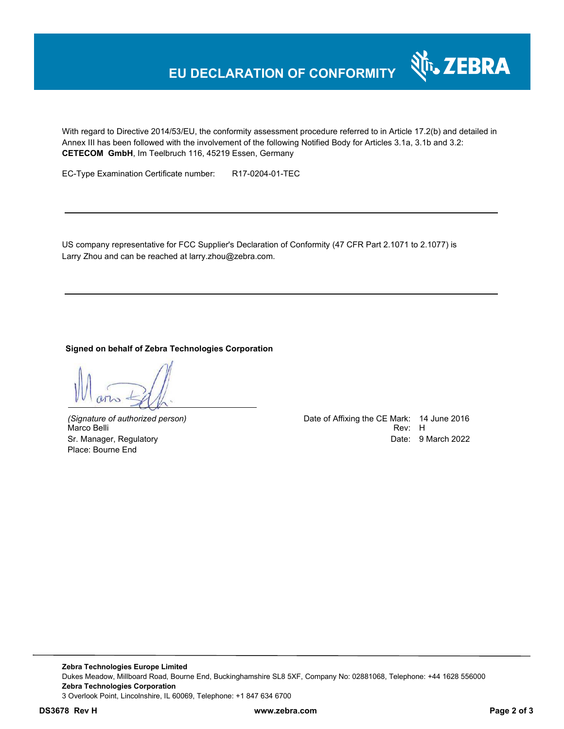## **EU DECLARATION OF CONFORMITY**

With regard to Directive 2014/53/EU, the conformity assessment procedure referred to in Article 17.2(b) and detailed in Annex III has been followed with the involvement of the following Notified Body for Articles 3.1a, 3.1b and 3.2: **CETECOM GmbH**, Im Teelbruch 116, 45219 Essen, Germany

EC-Type Examination Certificate number: R17-0204-01-TEC

US company representative for FCC Supplier's Declaration of Conformity (47 CFR Part 2.1071 to 2.1077) is Larry Zhou and can be reached at larry.zhou@zebra.com.

**Signed on behalf of Zebra Technologies Corporation** 

Marco Belli Place: Bourne End

*(Signature of authorized person)* Date of Affixing the CE Mark: 14 June 2016 Sr. Manager, Regulatory **Date: 9 March 2022** 

र्शे<sub>ि</sub> ZEBRA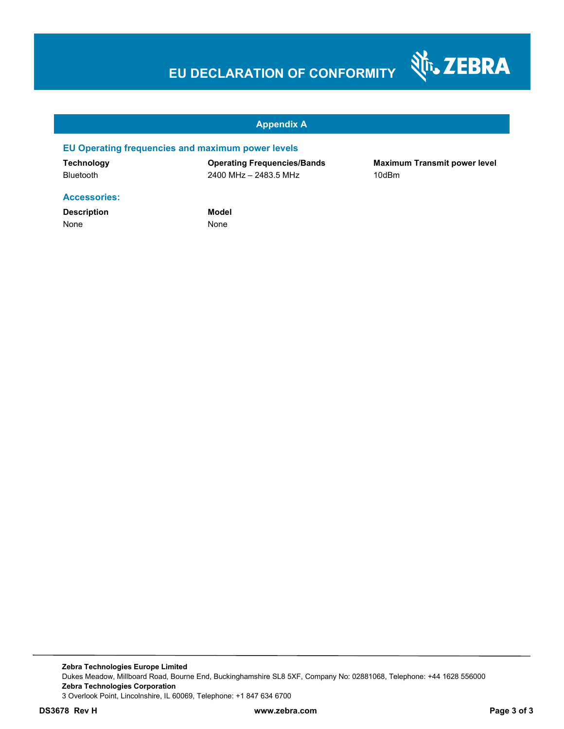# **EU DECLARATION OF CONFORMITY**



#### **Appendix A**

#### **EU Operating frequencies and maximum power levels**

**Technology Operating Frequencies/Bands Maximum Transmit power level**  Bluetooth 2400 MHz – 2483.5 MHz 10dBm

#### **Accessories:**

**Description Model** None None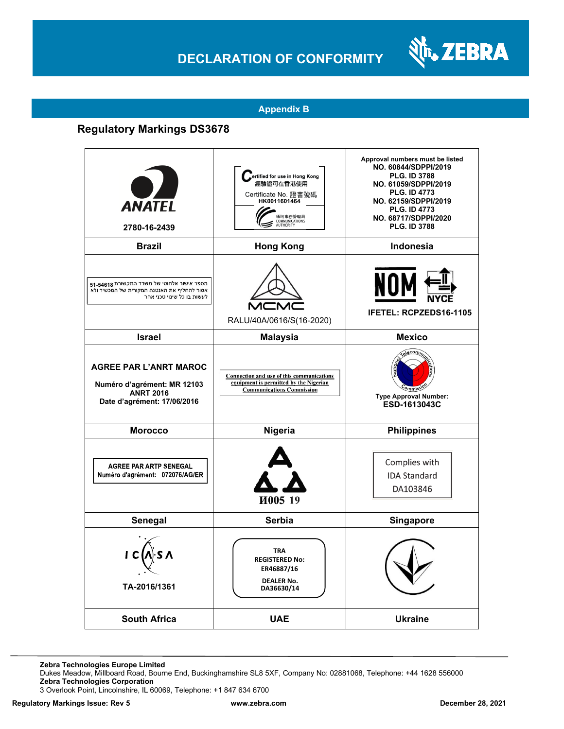## **DECLARATION OF CONFORMITY**



#### **Appendix B**

### **Regulatory Markings DS3678**

| <b>ANATEL</b><br>2780-16-2439                                                                                           | _ertified for use in Hong Kong<br>經驗證可在香港使用<br>Certificate No. 證書號碼<br>HK0011601464<br>通訊事務管理局<br>COMMUNICATIONS        | Approval numbers must be listed<br>NO. 60844/SDPPI/2019<br>PLG. ID 3788<br>NO. 61059/SDPPI/2019<br><b>PLG. ID 4773</b><br>NO. 62159/SDPPI/2019<br><b>PLG. ID 4773</b><br>NO. 68717/SDPPI/2020<br><b>PLG. ID 3788</b> |
|-------------------------------------------------------------------------------------------------------------------------|-------------------------------------------------------------------------------------------------------------------------|----------------------------------------------------------------------------------------------------------------------------------------------------------------------------------------------------------------------|
| <b>Brazil</b>                                                                                                           | <b>Hong Kong</b>                                                                                                        | <b>Indonesia</b>                                                                                                                                                                                                     |
| מספר אישור אלחוטי של משרד התקשורת 54618-51<br>אסור להחליף את האנטנה המקורית של המכשיר ולא<br>לעשות בו כל שינוי טכני אחר | MCN<br>RALU/40A/0616/S(16-2020)                                                                                         | NOI<br><b>IFETEL: RCPZEDS16-1105</b>                                                                                                                                                                                 |
| <b>Israel</b>                                                                                                           | <b>Malaysia</b>                                                                                                         | <b>Mexico</b>                                                                                                                                                                                                        |
| <b>AGREE PAR L'ANRT MAROC</b><br>Numéro d'agrément: MR 12103<br><b>ANRT 2016</b><br>Date d'agrément: 17/06/2016         | Connection and use of this communications<br>equipment is permitted by the Nigerian<br><b>Communications Commission</b> | relecomm<br><b>Type Approval Number:</b><br>ESD-1613043C                                                                                                                                                             |
| <b>Morocco</b>                                                                                                          | Nigeria                                                                                                                 | <b>Philippines</b>                                                                                                                                                                                                   |
| <b>AGREE PAR ARTP SENEGAL</b><br>Numéro d'agrément: 072076/AG/ER                                                        | И005 19                                                                                                                 | Complies with<br><b>IDA Standard</b><br>DA103846                                                                                                                                                                     |
| Senegal                                                                                                                 | Serbia                                                                                                                  | <b>Singapore</b>                                                                                                                                                                                                     |
| TA-2016/1361                                                                                                            | <b>TRA</b><br><b>REGISTERED No:</b><br>ER46887/16<br><b>DEALER No.</b><br>DA36630/14                                    |                                                                                                                                                                                                                      |
| <b>South Africa</b>                                                                                                     | <b>UAE</b>                                                                                                              | <b>Ukraine</b>                                                                                                                                                                                                       |

**Zebra Technologies Europe Limited**

Dukes Meadow, Millboard Road, Bourne End, Buckinghamshire SL8 5XF, Company No: 02881068, Telephone: +44 1628 556000 **Zebra Technologies Corporation** 

3 Overlook Point, Lincolnshire, IL 60069, Telephone: +1 847 634 6700